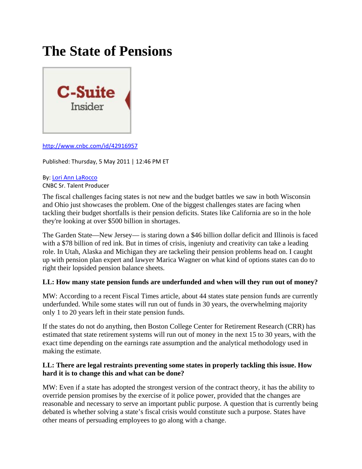# **The State of Pensions**



<http://www.cnbc.com/id/42916957>

Published: Thursday, 5 May 2011 | 12:46 PM ET

# By: Lori Ann [LaRocco](http://www.cnbc.com/id/15837548/cid/189873)

CNBC Sr. Talent Producer

The fiscal challenges facing states is not new and the budget battles we saw in both Wisconsin and Ohio just showcases the problem. One of the biggest challenges states are facing when tackling their budget shortfalls is their pension deficits. States like California are so in the hole they're looking at over \$500 billion in shortages.

The Garden State—New Jersey— is staring down a \$46 billion dollar deficit and Illinois is faced with a \$78 billion of red ink. But in times of crisis, ingeniuty and creativity can take a leading role. In Utah, Alaska and Michigan they are tackeling their pension problems head on. I caught up with pension plan expert and lawyer Marica Wagner on what kind of options states can do to right their lopsided pension balance sheets.

## **LL: How many state pension funds are underfunded and when will they run out of money?**

MW: According to a recent Fiscal Times article, about 44 states state pension funds are currently underfunded. While some states will run out of funds in 30 years, the overwhelming majority only 1 to 20 years left in their state pension funds.

If the states do not do anything, then Boston College Center for Retirement Research (CRR) has estimated that state retirement systems will run out of money in the next 15 to 30 years, with the exact time depending on the earnings rate assumption and the analytical methodology used in making the estimate.

#### **LL: There are legal restraints preventing some states in properly tackling this issue. How hard it is to change this and what can be done?**

MW: Even if a state has adopted the strongest version of the contract theory, it has the ability to override pension promises by the exercise of it police power, provided that the changes are reasonable and necessary to serve an important public purpose. A question that is currently being debated is whether solving a state's fiscal crisis would constitute such a purpose. States have other means of persuading employees to go along with a change.